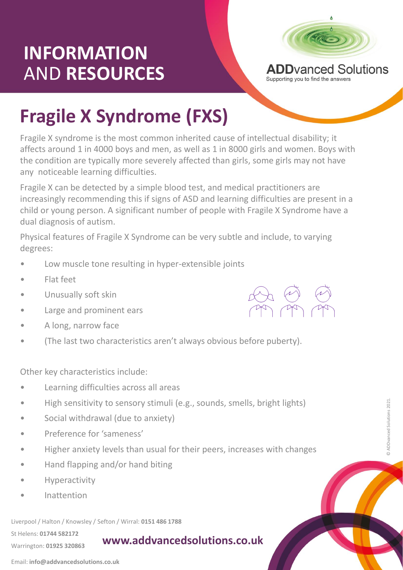## **INFORMATION** AND **RESOURCES**



**ADD**vanced Solutions Supporting you to find the answers

## **Fragile X Syndrome (FXS)**

Fragile X syndrome is the most common inherited cause of intellectual disability; it affects around 1 in 4000 boys and men, as well as 1 in 8000 girls and women. Boys with the condition are typically more severely affected than girls, some girls may not have any noticeable learning difficulties.

Fragile X can be detected by a simple blood test, and medical practitioners are increasingly recommending this if signs of ASD and learning difficulties are present in a child or young person. A significant number of people with Fragile X Syndrome have a dual diagnosis of autism.

Physical features of Fragile X Syndrome can be very subtle and include, to varying degrees:

- Low muscle tone resulting in hyper-extensible joints
- Flat feet
- Unusually soft skin
- Large and prominent ears
- A long, narrow face
- (The last two characteristics aren't always obvious before puberty).

Other key characteristics include:

- Learning difficulties across all areas
- High sensitivity to sensory stimuli (e.g., sounds, smells, bright lights)
- Social withdrawal (due to anxiety)
- Preference for 'sameness'
- Preference for 'sameness'<br>• Higher anxiety levels than usual for their peers, increases with changes
- Hand flapping and/or hand biting
- **Hyperactivity**
- Inattention

Liverpool / Halton / Knowsley / Sefton / Wirral: **0151 486 1788**

St Helens: **01744 582172**  Warrington: **01925 320863**

**www.addvancedsolutions.co.uk**



Email: **info@addvancedsolutions.co.uk**